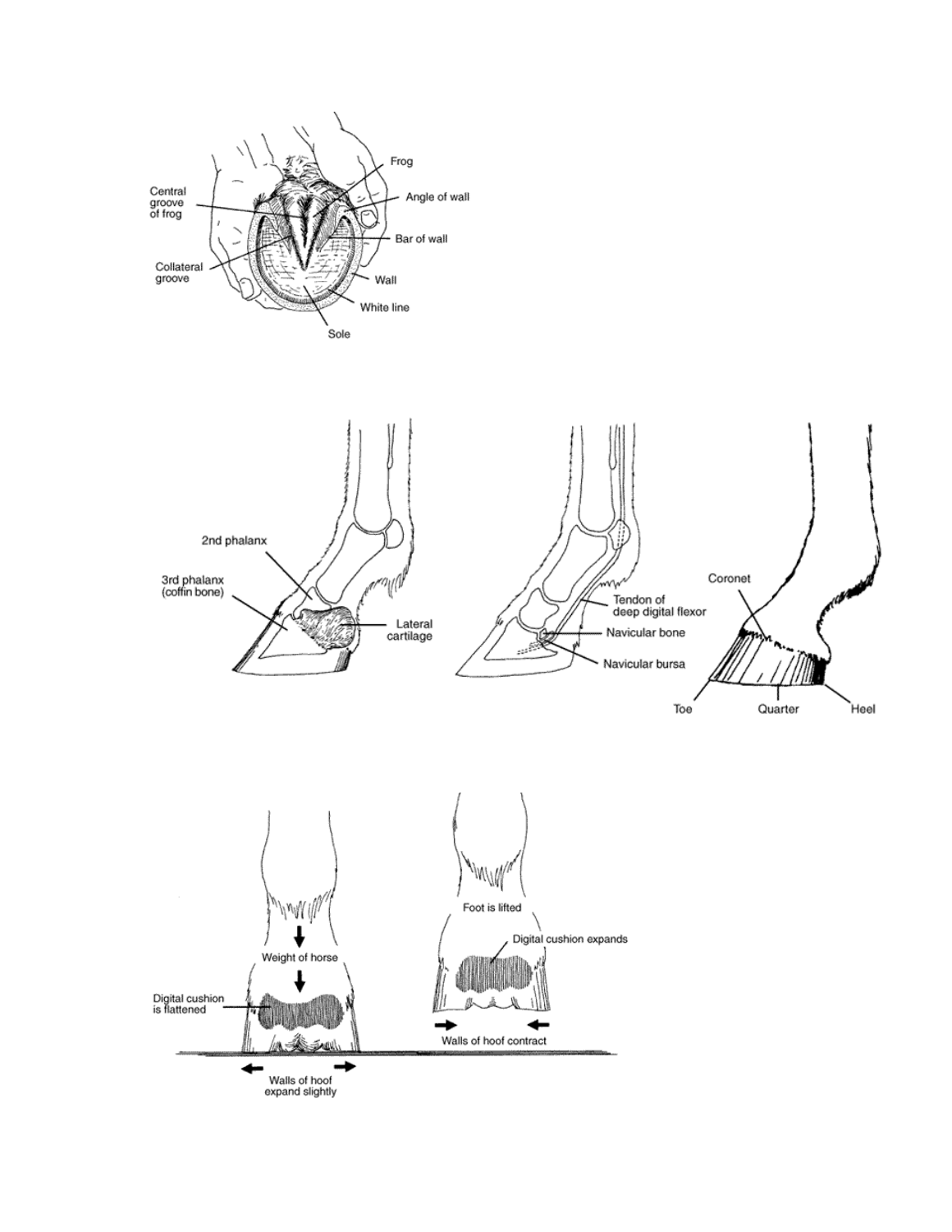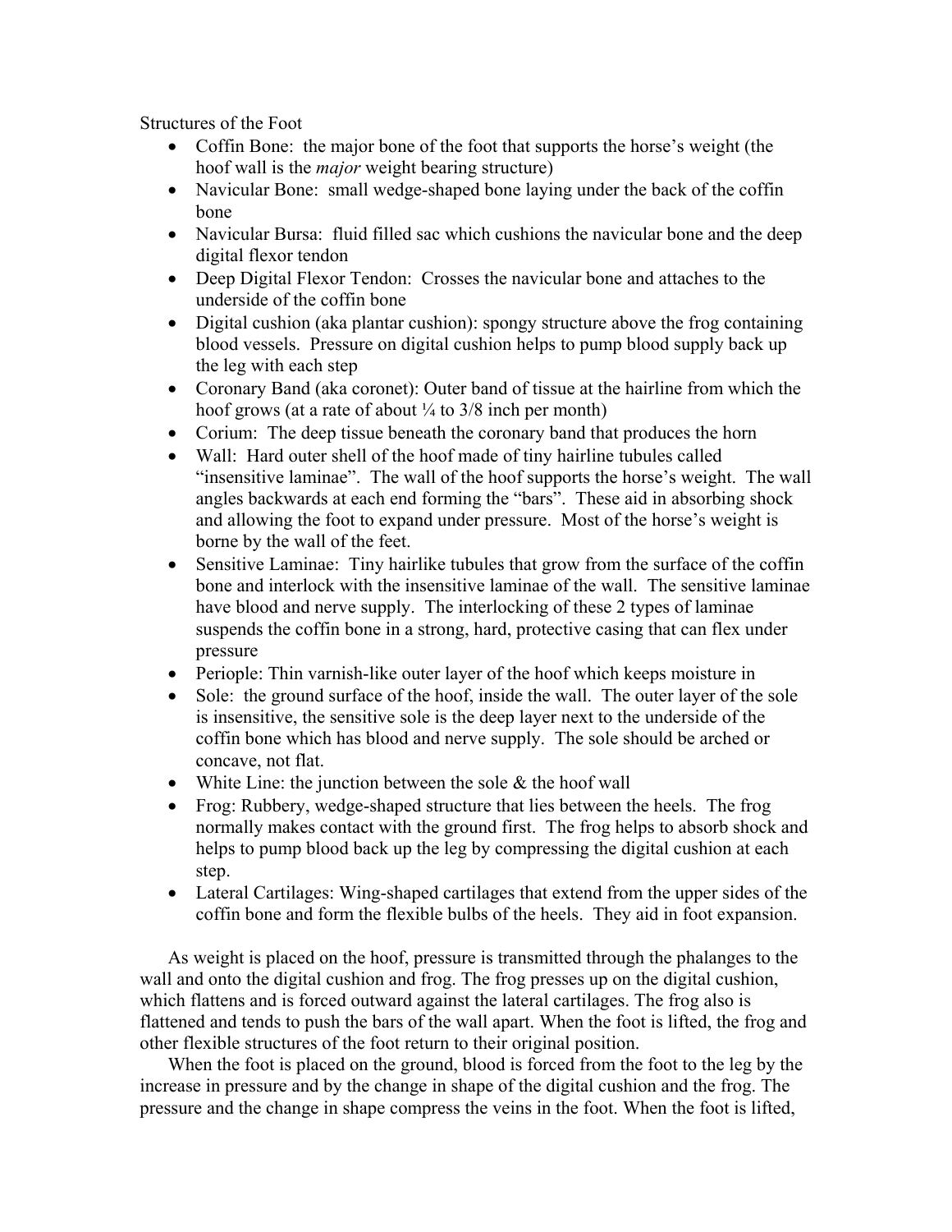Structures of the Foot

- Coffin Bone: the major bone of the foot that supports the horse's weight (the hoof wall is the *major* weight bearing structure)
- Navicular Bone: small wedge-shaped bone laying under the back of the coffin bone
- Navicular Bursa: fluid filled sac which cushions the navicular bone and the deep digital flexor tendon
- Deep Digital Flexor Tendon: Crosses the navicular bone and attaches to the underside of the coffin bone
- Digital cushion (aka plantar cushion): spongy structure above the frog containing blood vessels. Pressure on digital cushion helps to pump blood supply back up the leg with each step
- Coronary Band (aka coronet): Outer band of tissue at the hairline from which the hoof grows (at a rate of about  $\frac{1}{4}$  to 3/8 inch per month)
- Corium: The deep tissue beneath the coronary band that produces the horn
- Wall: Hard outer shell of the hoof made of tiny hairline tubules called "insensitive laminae". The wall of the hoof supports the horse's weight. The wall angles backwards at each end forming the "bars". These aid in absorbing shock and allowing the foot to expand under pressure. Most of the horse's weight is borne by the wall of the feet.
- Sensitive Laminae: Tiny hairlike tubules that grow from the surface of the coffin bone and interlock with the insensitive laminae of the wall. The sensitive laminae have blood and nerve supply. The interlocking of these 2 types of laminae suspends the coffin bone in a strong, hard, protective casing that can flex under pressure
- Periople: Thin varnish-like outer layer of the hoof which keeps moisture in
- Sole: the ground surface of the hoof, inside the wall. The outer layer of the sole is insensitive, the sensitive sole is the deep layer next to the underside of the coffin bone which has blood and nerve supply. The sole should be arched or concave, not flat.
- White Line: the junction between the sole  $&$  the hoof wall
- Frog: Rubbery, wedge-shaped structure that lies between the heels. The frog normally makes contact with the ground first. The frog helps to absorb shock and helps to pump blood back up the leg by compressing the digital cushion at each step.
- Lateral Cartilages: Wing-shaped cartilages that extend from the upper sides of the coffin bone and form the flexible bulbs of the heels. They aid in foot expansion.

As weight is placed on the hoof, pressure is transmitted through the phalanges to the wall and onto the digital cushion and frog. The frog presses up on the digital cushion, which flattens and is forced outward against the lateral cartilages. The frog also is flattened and tends to push the bars of the wall apart. When the foot is lifted, the frog and other flexible structures of the foot return to their original position.

When the foot is placed on the ground, blood is forced from the foot to the leg by the increase in pressure and by the change in shape of the digital cushion and the frog. The pressure and the change in shape compress the veins in the foot. When the foot is lifted,